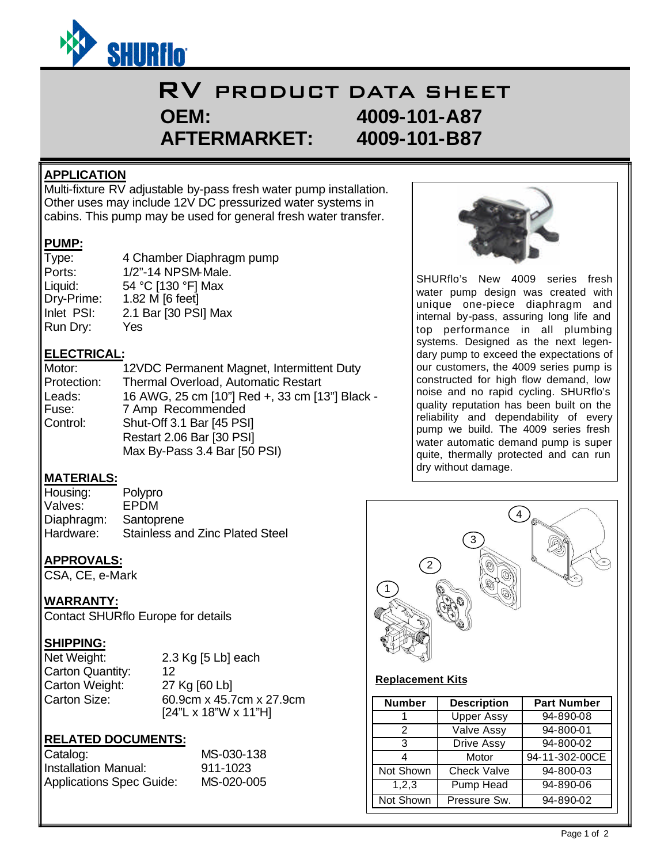

# RV PRODUCT DATA SHEET **OEM: 4009-101-A87 AFTERMARKET: 4009-101-B87**

#### **APPLICATION**

Multi-fixture RV adjustable by-pass fresh water pump installation. Other uses may include 12V DC pressurized water systems in cabins. This pump may be used for general fresh water transfer.

#### **PUMP:**

| Type:      | 4 Chamber Diaphragm pump |
|------------|--------------------------|
| Ports:     | 1/2"-14 NPSM-Male.       |
| Liquid:    | 54 °C [130 °F] Max       |
| Dry-Prime: | 1.82 M [6 feet]          |
| Inlet PSI: | 2.1 Bar [30 PSI] Max     |
| Run Dry:   | Yes                      |

## **ELECTRICAL:**

| Motor:      | 12VDC Permanent Magnet, Intermittent Duty      |
|-------------|------------------------------------------------|
| Protection: | Thermal Overload, Automatic Restart            |
| Leads:      | 16 AWG, 25 cm [10"] Red +, 33 cm [13"] Black - |
| Fuse:       | 7 Amp Recommended                              |
| Control:    | Shut-Off 3.1 Bar [45 PSI]                      |
|             | Restart 2.06 Bar [30 PSI]                      |
|             | Max By-Pass 3.4 Bar [50 PSI)                   |

## **MATERIALS:**

| Housing:   | Polypro                         |
|------------|---------------------------------|
| Valves:    | EPDM                            |
| Diaphragm: | Santoprene                      |
| Hardware:  | Stainless and Zinc Plated Steel |

## **APPROVALS:**

CSA, CE, e-Mark

## **WARRANTY:**

Contact SHURflo Europe for details

## **SHIPPING:**

Net Weight: 2.3 Kg [5 Lb] each Carton Quantity: 12 Carton Weight: 27 Kg [60 Lb]

Carton Size: 60.9cm x 45.7cm x 27.9cm [24"L x 18"W x 11"H]

# **RELATED DOCUMENTS:**

| Catalog:                        | MS-030-138 |
|---------------------------------|------------|
| Installation Manual:            | 911-1023   |
| <b>Applications Spec Guide:</b> | MS-020-005 |



SHURflo's New 4009 series fresh water pump design was created with unique one-piece diaphragm and internal by-pass, assuring long life and top performance in all plumbing systems. Designed as the next legendary pump to exceed the expectations of our customers, the 4009 series pump is constructed for high flow demand, low noise and no rapid cycling. SHURflo's quality reputation has been built on the reliability and dependability of every pump we build. The 4009 series fresh water automatic demand pump is super quite, thermally protected and can run dry without damage.